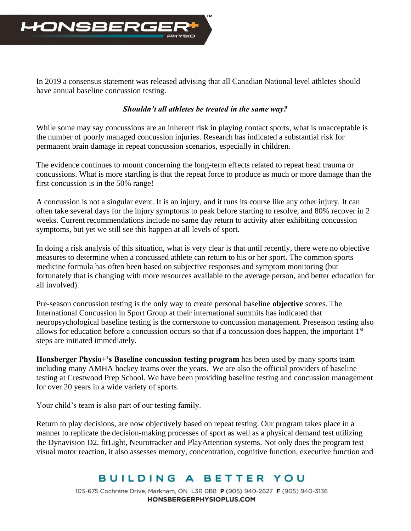

In 2019 a consensus statement was released advising that all Canadian National level athletes should have annual baseline concussion testing.

## *Shouldn't all athletes be treated in the same way?*

While some may say concussions are an inherent risk in playing contact sports*,* what is unacceptable is the number of poorly managed concussion injuries. Research has indicated a substantial risk for permanent brain damage in repeat concussion scenarios, especially in children.

The evidence continues to mount concerning the long-term effects related to repeat head trauma or concussions. What is more startling is that the repeat force to produce as much or more damage than the first concussion is in the 50% range!

A concussion is not a singular event. It is an injury, and it runs its course like any other injury. It can often take several days for the injury symptoms to peak before starting to resolve, and 80% recover in 2 weeks. Current recommendations include no same day return to activity after exhibiting concussion symptoms, but yet we still see this happen at all levels of sport.

In doing a risk analysis of this situation, what is very clear is that until recently, there were no objective measures to determine when a concussed athlete can return to his or her sport. The common sports medicine formula has often been based on subjective responses and symptom monitoring (but fortunately that is changing with more resources available to the average person, and better education for all involved).

Pre-season concussion testing is the only way to create personal baseline **objective** scores. The International Concussion in Sport Group at their international summits has indicated that neuropsychological baseline testing is the cornerstone to concussion management. Preseason testing also allows for education before a concussion occurs so that if a concussion does happen, the important 1st steps are initiated immediately.

**Honsberger Physio+'s Baseline concussion testing program** has been used by many sports team including many AMHA hockey teams over the years. We are also the official providers of baseline testing at Crestwood Prep School. We have been providing baseline testing and concussion management for over 20 years in a wide variety of sports.

Your child's team is also part of our testing family.

Return to play decisions, are now objectively based on repeat testing. Our program takes place in a manner to replicate the decision-making processes of sport as well as a physical demand test utilizing the Dynavision D2, fitLight, Neurotracker and PlayAttention systems. Not only does the program test visual motor reaction, it also assesses memory, concentration, cognitive function, executive function and

## BUILDING A BETTER YOU

105-675 Cochrane Drive, Markham, ON L3R OB8 P (905) 940-2627 F (905) 940-3136 HONSBERGERPHYSIOPLUS.COM